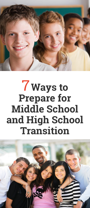

## 7**Ways to Prepare for Middle School and High School Transition**

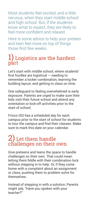Most students feel excited, and a little nervous, when they start middle school and high school. But, if the students know what to expect, they are likely to feel more confident and relaxed.

Here is some advice to help your preteen and teen feel more on top of things those first few weeks.

### $\bf{1)}$  Logistics are the hardest part

Let's start with middle school, where students' first hurdles are logistical — needing to remember a locker combination, learning the building layout, and getting to class on time.

One safeguard to feeling overwhelmed is early exposure. Parents are urged to make sure their kids visit their future school and attend any orientation or kick-off activities prior to the start of school.

Frisco ISD has a scheduled day for each campus prior to the start of school for students to tour the campus and find their classes. Make sure to mark this date on your calendar.

### $2)$  Let them handle challenges on their own

Give preteens and teens the space to handle challenges on their own. That could mean letting them fiddle with their combination lock without stepping in to help. Or, if they come home with a complaint about an assignment or class, pushing them to problem solve for themselves.

Instead of stepping in with a solution, Parents might ask, "Have you spoken with your teacher?"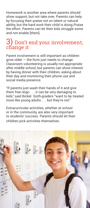Homework is another area where parents should show support, but not take over. Parents can help by focusing their praise not on talent or natural ability, but the hard work their child is doing.Praise the effort. Parents can let their kids struggle some and not enable [them].

# 3) Don't end your involvement; change it

Parent involvement is still important as children grow older — the form just needs to change. Classroom volunteering is usually not appropriate after middle school, but parents can show interest by having dinner with their children, asking about their day and monitoring their phone use and social media presence.

"If parents just wash their hands of it and give them free reign . . . it can be very damaging to kids," said Bickel. Sixth-graders "want to be treated more like young adults . . . but they're not."

Extracurricular activities, whether at school or in the community, are also very important to students' success. Parents should let their children pick activities themselves.

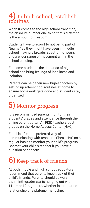# $\overline{4}$ ) In high school, establish routines

When it comes to the high school transition, the absolute number one thing that's different is the amount of freedom.

Students have to adjust to not being part of "teams" as they might have been in middle school, having a broader spectrum of peers and a wider range of movement within the school building.

For some students, the demands of high school can bring feelings of loneliness and isolation.

Parents can help their new high-schoolers by setting up after-school routines at home to ensure homework gets done and students stay organized.

## 5) Monitor progress

It is recommended parents monitor their students' grades and attendance through the online parent portal. All FISD teachers post grades on the Home Access Center (HAC).

Email is often the preferred way of communicating with teachers. Check HAC on a regular basis to monitor your child's progress. Contact your child's teacher if you have a question or concern.

### 6) Keep track of friends

At both middle and high school, educators recommend that parents keep track of their child's friends. Parents should be wary if their ninth-grader starts hanging out with 11th– or 12th graders, whether in a romantic relationship or a platonic friendship.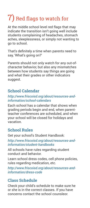## 7) Red flags to watch for

At the middle school level red flags that may indicate the transition isn't going well include students complaining of headaches, stomach aches, sleeplessness, or simply not wanting to go to school.

That's definitely a time when parents need to say, 'What's going on?'

Parents should not only watch for any out-ofcharacter behavior, but also any mismatches between how students say things are going and what their grades or other indicators suggest.

#### **School Calendar**

#### *http://www.friscoisd.org/about/resources-andinformation/school-calendars*

Each school has a calendar that shows when grading periods begin and end, when parentteacher conferences are scheduled, and when your school will be closed for holidays and vacation.

#### **School Rules**

Get your school's Student Handbook:

*http://www.friscoisd.org/about/resources-andinformation/student-handbooks*

All schools have rules regarding student conduct and behavior.

Learn school dress codes, cell phone policies, rules regarding medication, etc.

*http://www.friscoisd.org/about/resources-andinformation/dress-code*

#### **Class Schedule**

Check your child's schedule to make sure he or she is in the correct classes. If you have concerns contact the school counsleor.